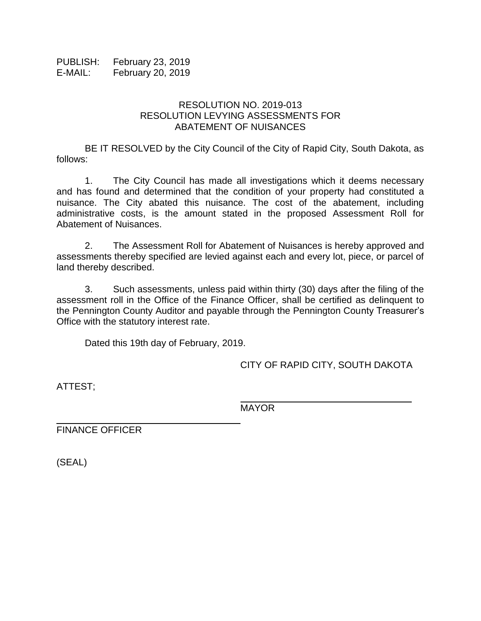PUBLISH: February 23, 2019 E-MAIL: February 20, 2019

## RESOLUTION NO. 2019-013 RESOLUTION LEVYING ASSESSMENTS FOR ABATEMENT OF NUISANCES

BE IT RESOLVED by the City Council of the City of Rapid City, South Dakota, as follows:

1. The City Council has made all investigations which it deems necessary and has found and determined that the condition of your property had constituted a nuisance. The City abated this nuisance. The cost of the abatement, including administrative costs, is the amount stated in the proposed Assessment Roll for Abatement of Nuisances.

2. The Assessment Roll for Abatement of Nuisances is hereby approved and assessments thereby specified are levied against each and every lot, piece, or parcel of land thereby described.

3. Such assessments, unless paid within thirty (30) days after the filing of the assessment roll in the Office of the Finance Officer, shall be certified as delinquent to the Pennington County Auditor and payable through the Pennington County Treasurer's Office with the statutory interest rate.

Dated this 19th day of February, 2019.

CITY OF RAPID CITY, SOUTH DAKOTA

\_\_\_\_\_\_\_\_\_\_\_\_\_\_\_\_\_\_\_\_\_\_\_\_\_\_\_\_\_\_

ATTEST;

MAYOR

FINANCE OFFICER

(SEAL)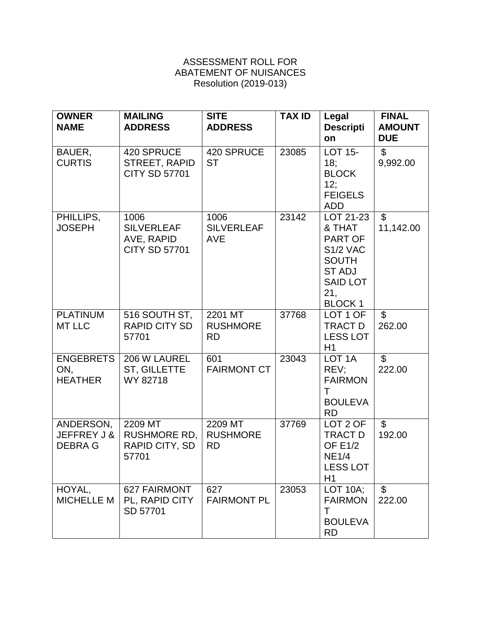## ASSESSMENT ROLL FOR ABATEMENT OF NUISANCES Resolution (2019-013)

| <b>OWNER</b><br><b>NAME</b>               | <b>MAILING</b><br><b>ADDRESS</b>                                | <b>SITE</b><br><b>ADDRESS</b>           | <b>TAX ID</b> | Legal<br><b>Descripti</b><br>on                                                                                                      | <b>FINAL</b><br><b>AMOUNT</b><br><b>DUE</b> |
|-------------------------------------------|-----------------------------------------------------------------|-----------------------------------------|---------------|--------------------------------------------------------------------------------------------------------------------------------------|---------------------------------------------|
| BAUER,<br><b>CURTIS</b>                   | 420 SPRUCE<br>STREET, RAPID<br><b>CITY SD 57701</b>             | 420 SPRUCE<br><b>ST</b>                 | 23085         | <b>LOT 15-</b><br>18;<br><b>BLOCK</b><br>12;<br><b>FEIGELS</b><br><b>ADD</b>                                                         | $\mathfrak{S}$<br>9,992.00                  |
| PHILLIPS,<br><b>JOSEPH</b>                | 1006<br><b>SILVERLEAF</b><br>AVE, RAPID<br><b>CITY SD 57701</b> | 1006<br><b>SILVERLEAF</b><br><b>AVE</b> | 23142         | LOT 21-23<br>& THAT<br><b>PART OF</b><br><b>S1/2 VAC</b><br><b>SOUTH</b><br><b>ST ADJ</b><br><b>SAID LOT</b><br>21,<br><b>BLOCK1</b> | $\overline{\mathcal{S}}$<br>11,142.00       |
| <b>PLATINUM</b><br><b>MT LLC</b>          | 516 SOUTH ST,<br><b>RAPID CITY SD</b><br>57701                  | 2201 MT<br><b>RUSHMORE</b><br><b>RD</b> | 37768         | LOT 1 OF<br>TRACT D<br><b>LESS LOT</b><br>H1                                                                                         | $\overline{\mathcal{S}}$<br>262.00          |
| <b>ENGEBRETS</b><br>ON,<br><b>HEATHER</b> | 206 W LAUREL<br>ST, GILLETTE<br>WY 82718                        | 601<br><b>FAIRMONT CT</b>               | 23043         | LOT <sub>1</sub> A<br>REV:<br><b>FAIRMON</b><br>T.<br><b>BOULEVA</b><br><b>RD</b>                                                    | $\mathbb{S}$<br>222.00                      |
| ANDERSON,<br>JEFFREY J &<br><b>DEBRAG</b> | 2209 MT<br><b>RUSHMORE RD,</b><br>RAPID CITY, SD<br>57701       | 2209 MT<br><b>RUSHMORE</b><br><b>RD</b> | 37769         | LOT 2 OF<br>TRACT D<br><b>OF E1/2</b><br><b>NE1/4</b><br><b>LESS LOT</b><br>H1                                                       | $\mathfrak{S}$<br>192.00                    |
| HOYAL,<br><b>MICHELLE M</b>               | 627 FAIRMONT<br>PL, RAPID CITY<br>SD 57701                      | 627<br><b>FAIRMONT PL</b>               | 23053         | $\overline{LOT}$ 10A;<br><b>FAIRMON</b><br>T<br><b>BOULEVA</b><br><b>RD</b>                                                          | $\mathfrak{L}$<br>222.00                    |